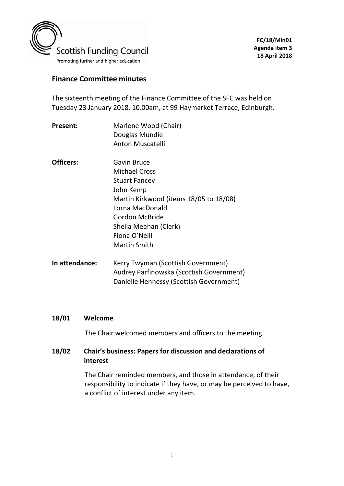

### **Finance Committee minutes**

The sixteenth meeting of the Finance Committee of the SFC was held on Tuesday 23 January 2018, 10.00am, at 99 Haymarket Terrace, Edinburgh.

- **Present:** Marlene Wood (Chair) Douglas Mundie Anton Muscatelli
- **Officers:** Gavin Bruce Michael Cross Stuart Fancey John Kemp Martin Kirkwood (items 18/05 to 18/08) Lorna MacDonald Gordon McBride Sheila Meehan (Clerk) Fiona O'Neill Martin Smith
- **In attendance:** Kerry Twyman (Scottish Government) Audrey Parfinowska (Scottish Government) Danielle Hennessy (Scottish Government)

#### **18/01 Welcome**

The Chair welcomed members and officers to the meeting.

#### **18/02 Chair's business: Papers for discussion and declarations of interest**

The Chair reminded members, and those in attendance, of their responsibility to indicate if they have, or may be perceived to have, a conflict of interest under any item.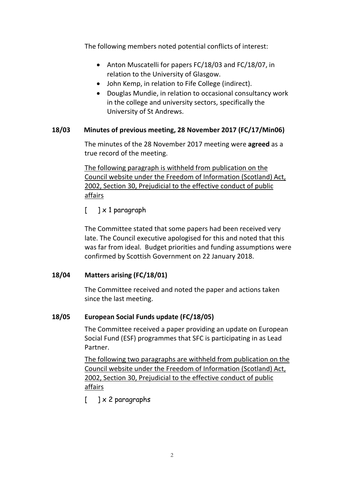The following members noted potential conflicts of interest:

- Anton Muscatelli for papers FC/18/03 and FC/18/07, in relation to the University of Glasgow.
- John Kemp, in relation to Fife College (indirect).
- Douglas Mundie, in relation to occasional consultancy work in the college and university sectors, specifically the University of St Andrews.

#### **18/03 Minutes of previous meeting, 28 November 2017 (FC/17/Min06)**

The minutes of the 28 November 2017 meeting were **agreed** as a true record of the meeting.

 The following paragraph is withheld from publication on the Council website under the Freedom of Information (Scotland) Act, 2002, Section 30, Prejudicial to the effective conduct of public affairs

 $[$  ]  $\times$  1 paragraph

The Committee stated that some papers had been received very late. The Council executive apologised for this and noted that this was far from ideal. Budget priorities and funding assumptions were confirmed by Scottish Government on 22 January 2018.

#### **18/04 Matters arising (FC/18/01)**

The Committee received and noted the paper and actions taken since the last meeting.

# **18/05 European Social Funds update (FC/18/05)**

The Committee received a paper providing an update on European Social Fund (ESF) programmes that SFC is participating in as Lead Partner.

The following two paragraphs are withheld from publication on the Council website under the Freedom of Information (Scotland) Act, 2002, Section 30, Prejudicial to the effective conduct of public affairs

 $[$  ]  $\times$  2 paragraphs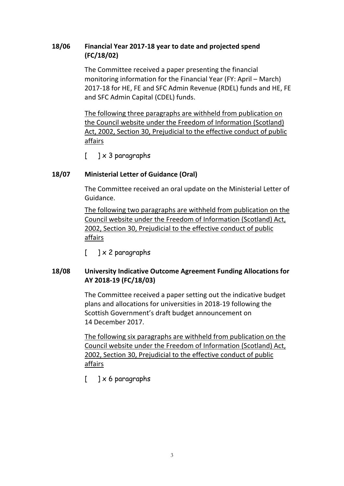## **18/06 Financial Year 2017-18 year to date and projected spend (FC/18/02)**

The Committee received a paper presenting the financial monitoring information for the Financial Year (FY: April – March) 2017-18 for HE, FE and SFC Admin Revenue (RDEL) funds and HE, FE and SFC Admin Capital (CDEL) funds.

The following three paragraphs are withheld from publication on the Council website under the Freedom of Information (Scotland) Act, 2002, Section 30, Prejudicial to the effective conduct of public affairs

 $\lceil$   $\rceil \times 3$  paragraphs

# **18/07 Ministerial Letter of Guidance (Oral)**

The Committee received an oral update on the Ministerial Letter of Guidance.

The following two paragraphs are withheld from publication on the Council website under the Freedom of Information (Scotland) Act, 2002, Section 30, Prejudicial to the effective conduct of public affairs

 $[$  ]  $\times$  2 paragraphs

### **18/08 University Indicative Outcome Agreement Funding Allocations for AY 2018-19 (FC/18/03)**

The Committee received a paper setting out the indicative budget plans and allocations for universities in 2018-19 following the Scottish Government's draft budget announcement on 14 December 2017.

The following six paragraphs are withheld from publication on the Council website under the Freedom of Information (Scotland) Act, 2002, Section 30, Prejudicial to the effective conduct of public affairs

 $[$  ]  $\times$  6 paragraphs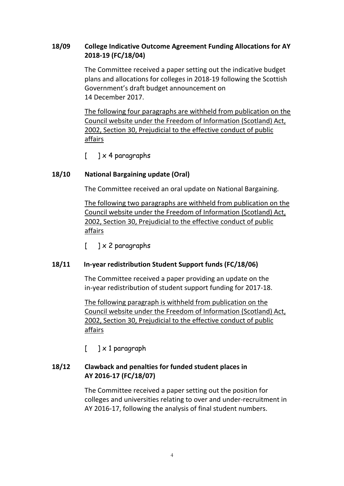## **18/09 College Indicative Outcome Agreement Funding Allocations for AY 2018-19 (FC/18/04)**

The Committee received a paper setting out the indicative budget plans and allocations for colleges in 2018-19 following the Scottish Government's draft budget announcement on 14 December 2017.

The following four paragraphs are withheld from publication on the Council website under the Freedom of Information (Scotland) Act, 2002, Section 30, Prejudicial to the effective conduct of public affairs

 $\lceil$   $\rceil \times 4$  paragraphs

### **18/10 National Bargaining update (Oral)**

The Committee received an oral update on National Bargaining.

The following two paragraphs are withheld from publication on the Council website under the Freedom of Information (Scotland) Act, 2002, Section 30, Prejudicial to the effective conduct of public affairs

 $[$  ]  $\times$  2 paragraphs

#### **18/11 In-year redistribution Student Support funds (FC/18/06)**

The Committee received a paper providing an update on the in-year redistribution of student support funding for 2017-18.

The following paragraph is withheld from publication on the Council website under the Freedom of Information (Scotland) Act, 2002, Section 30, Prejudicial to the effective conduct of public affairs

 $\begin{bmatrix} 1 & x & 1 \end{bmatrix}$  paragraph

# **18/12 Clawback and penalties for funded student places in AY 2016-17 (FC/18/07)**

The Committee received a paper setting out the position for colleges and universities relating to over and under-recruitment in AY 2016-17, following the analysis of final student numbers.